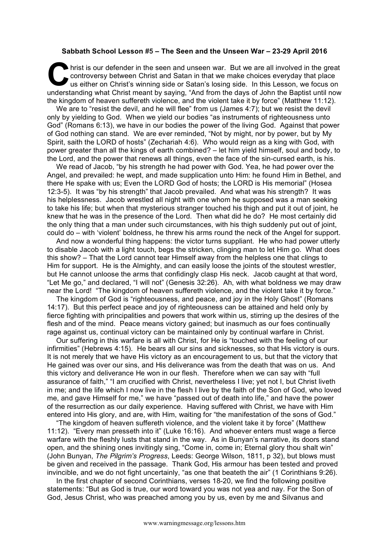## **Sabbath School Lesson #5 – The Seen and the Unseen War – 23-29 April 2016**

hrist is our defender in the seen and unseen war. But we are all involved in the great controversy between Christ and Satan in that we make choices everyday that place us either on Christ's winning side or Satan's losing s controversy between Christ and Satan in that we make choices everyday that place us either on Christ's winning side or Satan's losing side. In this Lesson, we focus on understanding what Christ meant by saying, "And from the days of John the Baptist until now the kingdom of heaven suffereth violence, and the violent take it by force" (Matthew 11:12).

We are to "resist the devil, and he will flee" from us (James 4:7); but we resist the devil only by yielding to God. When we yield our bodies "as instruments of righteousness unto God" (Romans 6:13), we have in our bodies the power of the living God. Against that power of God nothing can stand. We are ever reminded, "Not by might, nor by power, but by My Spirit, saith the LORD of hosts" (Zechariah 4:6). Who would reign as a king with God, with power greater than all the kings of earth combined? – let him yield himself, soul and body, to the Lord, and the power that renews all things, even the face of the sin-cursed earth, is his.

We read of Jacob, "by his strength he had power with God. Yea, he had power over the Angel, and prevailed: he wept, and made supplication unto Him: he found Him in Bethel, and there He spake with us; Even the LORD God of hosts; the LORD is His memorial" (Hosea 12:3-5). It was "by his strength" that Jacob prevailed. And what was his strength? It was his helplessness. Jacob wrestled all night with one whom he supposed was a man seeking to take his life; but when that mysterious stranger touched his thigh and put it out of joint, he knew that he was in the presence of the Lord. Then what did he do? He most certainly did the only thing that a man under such circumstances, with his thigh suddenly put out of joint, could do – with 'violent' boldness, he threw his arms round the neck of the Angel for support.

And now a wonderful thing happens: the victor turns suppliant. He who had power utterly to disable Jacob with a light touch, begs the stricken, clinging man to let Him go. What does this show? – That the Lord cannot tear Himself away from the helpless one that clings to Him for support. He is the Almighty, and can easily loose the joints of the stoutest wrestler, but He cannot unloose the arms that confidingly clasp His neck. Jacob caught at that word, "Let Me go," and declared, "I will not" (Genesis 32:26). Ah, with what boldness we may draw near the Lord! "The kingdom of heaven suffereth violence, and the violent take it by force."

The kingdom of God is "righteousness, and peace, and joy in the Holy Ghost" (Romans 14:17). But this perfect peace and joy of righteousness can be attained and held only by fierce fighting with principalities and powers that work within us, stirring up the desires of the flesh and of the mind. Peace means victory gained; but inasmuch as our foes continually rage against us, continual victory can be maintained only by continual warfare in Christ.

Our suffering in this warfare is all with Christ, for He is "touched with the feeling of our infirmities" (Hebrews 4:15). He bears all our sins and sicknesses, so that His victory is ours. It is not merely that we have His victory as an encouragement to us, but that the victory that He gained was over our sins, and His deliverance was from the death that was on us. And this victory and deliverance He won in our flesh. Therefore when we can say with "full assurance of faith," "I am crucified with Christ, nevertheless I live; yet not I, but Christ liveth in me; and the life which I now live in the flesh I live by the faith of the Son of God, who loved me, and gave Himself for me," we have "passed out of death into life," and have the power of the resurrection as our daily experience. Having suffered with Christ, we have with Him entered into His glory, and are, with Him, waiting for "the manifestation of the sons of God."

"The kingdom of heaven suffereth violence, and the violent take it by force" (Matthew 11:12). "Every man presseth into it" (Luke 16:16). And whoever enters must wage a fierce warfare with the fleshly lusts that stand in the way. As in Bunyan's narrative, its doors stand open, and the shining ones invitingly sing, "Come in, come in; Eternal glory thou shalt win" (John Bunyan, *The Pilgrim's Progress*, Leeds: George Wilson, 1811, p 32), but blows must be given and received in the passage. Thank God, His armour has been tested and proved invincible, and we do not fight uncertainly, "as one that beateth the air" (1 Corinthians 9:26).

In the first chapter of second Corinthians, verses 18-20, we find the following positive statements: "But as God is true, our word toward you was not yea and nay. For the Son of God, Jesus Christ, who was preached among you by us, even by me and Silvanus and